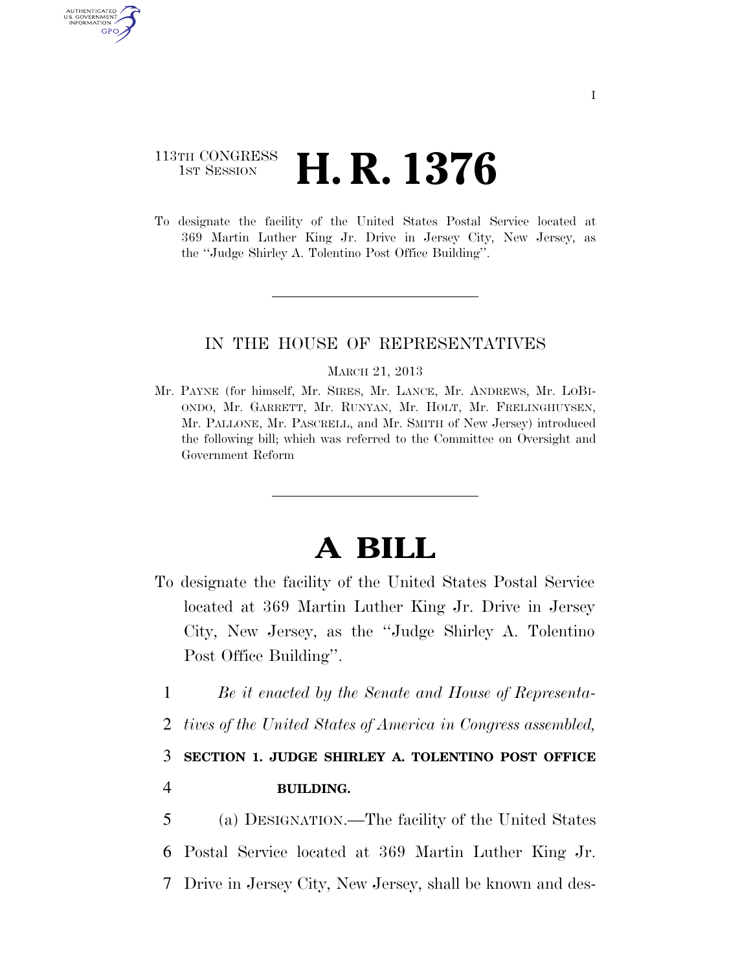## 113TH CONGRESS <sup>TH CONGRESS</sup> **H. R. 1376**

AUTHENTICATED U.S. GOVERNMENT GPO

> To designate the facility of the United States Postal Service located at 369 Martin Luther King Jr. Drive in Jersey City, New Jersey, as the ''Judge Shirley A. Tolentino Post Office Building''.

#### IN THE HOUSE OF REPRESENTATIVES

#### MARCH 21, 2013

Mr. PAYNE (for himself, Mr. SIRES, Mr. LANCE, Mr. ANDREWS, Mr. LOBI-ONDO, Mr. GARRETT, Mr. RUNYAN, Mr. HOLT, Mr. FRELINGHUYSEN, Mr. PALLONE, Mr. PASCRELL, and Mr. SMITH of New Jersey) introduced the following bill; which was referred to the Committee on Oversight and Government Reform

# **A BILL**

- To designate the facility of the United States Postal Service located at 369 Martin Luther King Jr. Drive in Jersey City, New Jersey, as the ''Judge Shirley A. Tolentino Post Office Building''.
	- 1 *Be it enacted by the Senate and House of Representa-*
	- 2 *tives of the United States of America in Congress assembled,*

3 **SECTION 1. JUDGE SHIRLEY A. TOLENTINO POST OFFICE** 

### 4 **BUILDING.**

5 (a) DESIGNATION.—The facility of the United States 6 Postal Service located at 369 Martin Luther King Jr. 7 Drive in Jersey City, New Jersey, shall be known and des